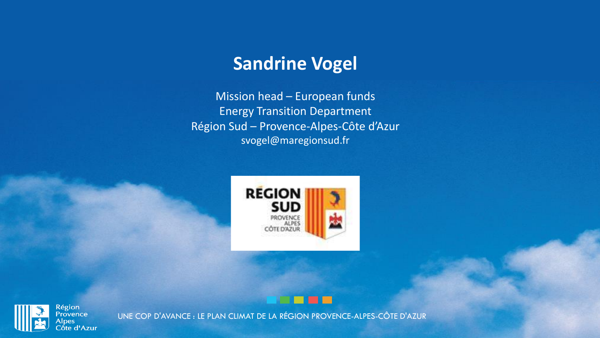# **Sandrine Vogel**

Mission head – European funds Energy Transition Department Région Sud – Provence-Alpes-Côte d'Azur svogel@maregionsud.fr





**Alpes** 

UNE COP D'AVANCE : LE PLAN CLIMAT DE LA RÉGION PROVENCE-ALPES-CÔTE D'AZUR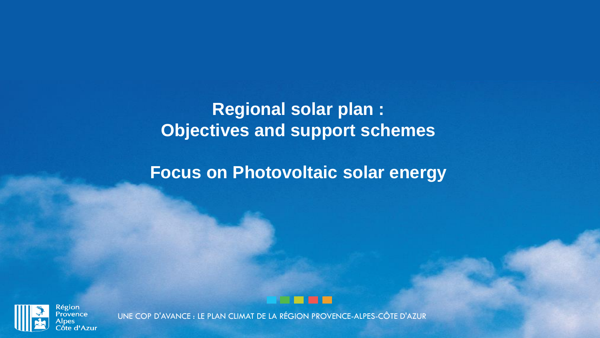# **Regional solar plan : Objectives and support schemes**

## **Focus on Photovoltaic solar energy**





**Région Provence** pes ốte d'Azur

UNE COP D'AVANCE : LE PLAN CLIMAT DE LA RÉGION PROVENCE-ALPES-CÔTE D'AZUR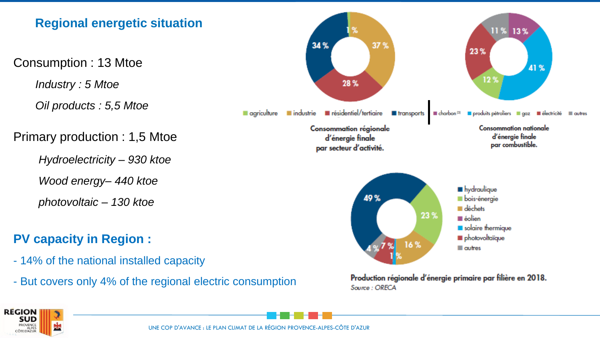

Production régionale d'énergie primaire par filière en 2018. Source: ORECA



*Industry : 5 Mtoe*

- But covers only 4% of the regional electric consumption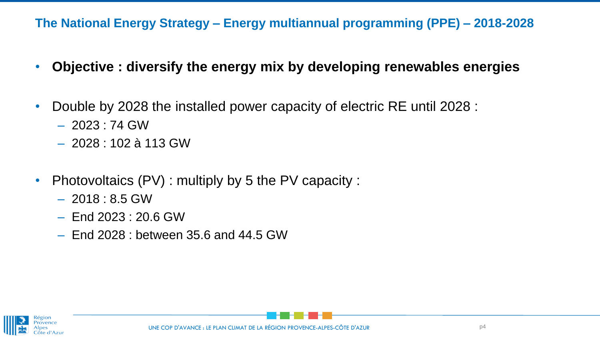#### **The National Energy Strategy – Energy multiannual programming (PPE) – 2018-2028**

- **Objective : diversify the energy mix by developing renewables energies**
- Double by 2028 the installed power capacity of electric RE until 2028 :
	- 2023 : 74 GW
	- 2028 : 102 à 113 GW
- Photovoltaics (PV) : multiply by 5 the PV capacity :
	- $-2018:8.5$  GW
	- End 2023 : 20.6 GW
	- End 2028 : between 35.6 and 44.5 GW



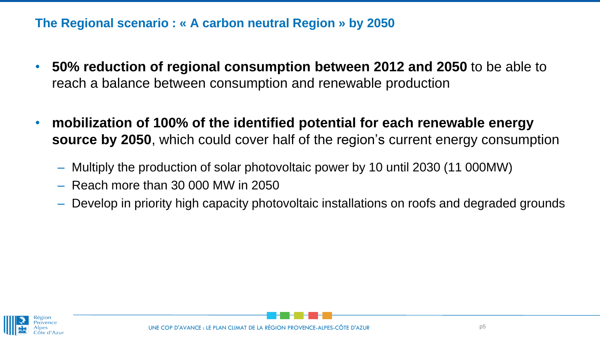**The Regional scenario : « A carbon neutral Region » by 2050**

- **50% reduction of regional consumption between 2012 and 2050** to be able to reach a balance between consumption and renewable production
- **mobilization of 100% of the identified potential for each renewable energy source by 2050**, which could cover half of the region's current energy consumption
	- Multiply the production of solar photovoltaic power by 10 until 2030 (11 000MW)
	- Reach more than 30 000 MW in 2050
	- Develop in priority high capacity photovoltaic installations on roofs and degraded grounds



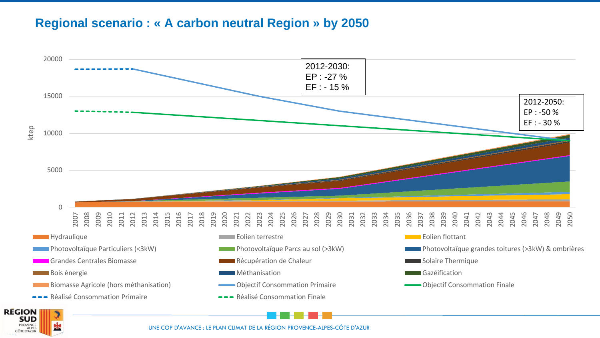#### **Regional scenario : « A carbon neutral Region » by 2050**



UNE COP D'AVANCE : LE PLAN CLIMAT DE LA RÉGION PROVENCE-ALPES-CÔTE D'AZUR

ALPES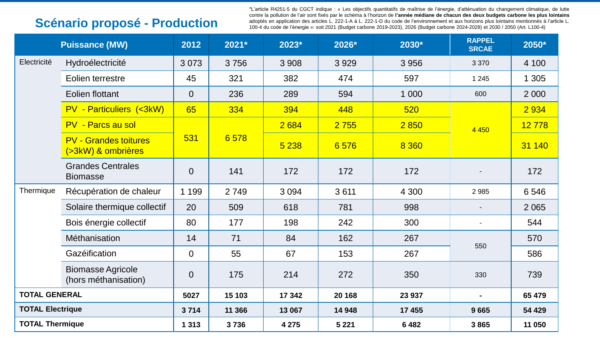### **Scénario proposé - Production**

\*L'article R4251-5 du CGCT indique : « Les objectifs quantitatifs de maîtrise de l'énergie, d'atténuation du changement climatique, de lutte contre la pollution de l'air sont fixés par le schéma à l'horizon de **l'année médiane de chacun des deux budgets carbone les plus lointains** adoptés en application des articles L. 222-1-A à L. 222-1-D du code de l'environnement et aux horizons plus lointains mentionnés à l'article L. 100-4 du code de l'énergie »: soit 2021 (Budget carbone 2019-2023), 2026 (Budget carbone 2024-2028) et 2030 / 2050 (Art. L100-4)

|                         | <b>Puissance (MW)</b>                              | 2012           | 2021*  | 2023*   | 2026*   | 2030*   | <b>RAPPEL</b><br><b>SRCAE</b> | 2050*   |
|-------------------------|----------------------------------------------------|----------------|--------|---------|---------|---------|-------------------------------|---------|
| Electricité             | Hydroélectricité                                   | 3 0 7 3        | 3756   | 3 9 0 8 | 3929    | 3 9 5 6 | 3 3 7 0                       | 4 100   |
|                         | Eolien terrestre                                   | 45             | 321    | 382     | 474     | 597     | 1 2 4 5                       | 1 3 0 5 |
|                         | <b>Eolien flottant</b>                             | $\overline{0}$ | 236    | 289     | 594     | 1 0 0 0 | 600                           | 2 0 0 0 |
|                         | <b>PV - Particuliers (&lt;3kW)</b>                 | 65             | 334    | 394     | 448     | 520     |                               | 2 9 3 4 |
|                         | PV - Parcs au sol                                  | 531            | 6578   | 2684    | 2 7 5 5 | 2 8 5 0 | 4 4 5 0                       | 12778   |
|                         | <b>PV - Grandes toitures</b><br>(>3kW) & ombrières |                |        | 5 2 3 8 | 6576    | 8 3 6 0 |                               | 31 140  |
|                         | <b>Grandes Centrales</b><br><b>Biomasse</b>        | $\overline{0}$ | 141    | 172     | 172     | 172     |                               | 172     |
| Thermique               | Récupération de chaleur                            | 1 1 9 9        | 2749   | 3 0 9 4 | 3611    | 4 3 0 0 | 2985                          | 6546    |
|                         | Solaire thermique collectif                        | 20             | 509    | 618     | 781     | 998     |                               | 2 0 6 5 |
|                         | Bois énergie collectif                             | 80             | 177    | 198     | 242     | 300     | $\overline{\phantom{a}}$      | 544     |
|                         | Méthanisation                                      | 14             | 71     | 84      | 162     | 267     | 550                           | 570     |
|                         | Gazéification                                      | $\overline{0}$ | 55     | 67      | 153     | 267     |                               | 586     |
|                         | <b>Biomasse Agricole</b><br>(hors méthanisation)   | $\overline{0}$ | 175    | 214     | 272     | 350     | 330                           | 739     |
| <b>TOTAL GENERAL</b>    |                                                    | 5027           | 15 103 | 17 342  | 20 168  | 23 937  |                               | 65 479  |
| <b>TOTAL Electrique</b> |                                                    | 3714           | 11 366 | 13 067  | 14 948  | 17 455  | 9665                          | 54 429  |
| <b>TOTAL Thermique</b>  |                                                    | 1 3 1 3        | 3736   | 4 2 7 5 | 5 2 2 1 | 6482    | 3865                          | 11 050  |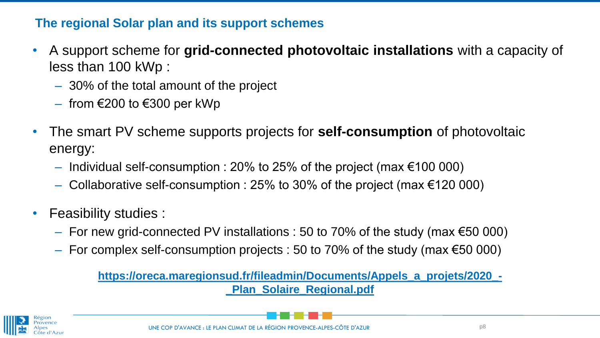#### **The regional Solar plan and its support schemes**

- A support scheme for **grid-connected photovoltaic installations** with a capacity of less than 100 kWp :
	- 30% of the total amount of the project
	- $-$  from €200 to €300 per kWp
- The smart PV scheme supports projects for **self-consumption** of photovoltaic energy:
	- $-$  Individual self-consumption : 20% to 25% of the project (max €100 000)
	- Collaborative self-consumption : 25% to 30% of the project (max €120 000)
- Feasibility studies :
	- $-$  For new grid-connected PV installations : 50 to 70% of the study (max €50 000)
	- $-$  For complex self-consumption projects : 50 to 70% of the study (max €50 000)

**[https://oreca.maregionsud.fr/fileadmin/Documents/Appels\\_a\\_projets/2020\\_-](https://oreca.maregionsud.fr/fileadmin/Documents/Appels_a_projets/2020_-_Plan_Solaire_Regional.pdf) \_Plan\_Solaire\_Regional.pdf**

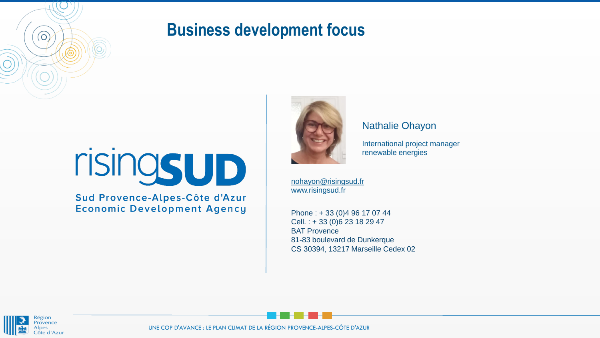# **Business development focus**



Sud Provence-Alpes-Côte d'Azur **Economic Development Agency** 



#### Nathalie Ohayon

International project manager renewable energies

[nohayon@risingsud.fr](mailto:nohayon@risingsud.fr) [www.risingsud.fr](http://www.risingsud.fr/)

Phone : + 33 (0)4 96 17 07 44 Cell. : + 33 (0)6 23 18 29 47 BAT Provence 81-83 boulevard de Dunkerque CS 30394, 13217 Marseille Cedex 02



 $\overline{(\circ)}$ 

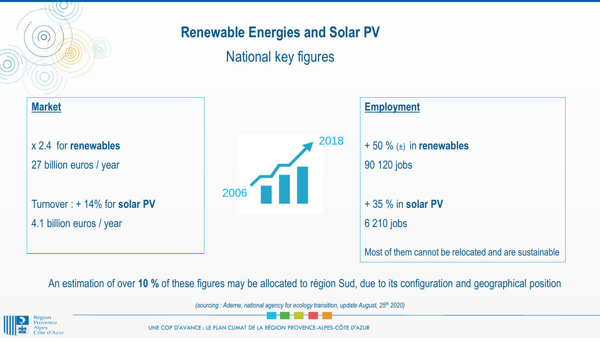### **Renewable Energies and Solar PV**

National key figures



An estimation of over **10 %** of these figures may be allocated to région Sud, due to its configuration and geographical position

*(sourcing : Ademe, national agency for ecology transition, update August, 25th 2020)*



 $\overline{(\circ)}$ 

UNE COP D'AVANCE : LE PLAN CLIMAT DE LA RÉGION PROVENCE-ALPES-CÔTE D'AZUR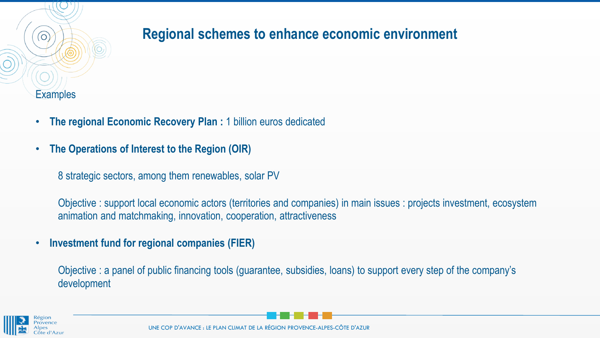

### **Regional schemes to enhance economic environment**

- **The regional Economic Recovery Plan :** 1 billion euros dedicated
- **The Operations of Interest to the Region (OIR)**
	- 8 strategic sectors, among them renewables, solar PV

Objective : support local economic actors (territories and companies) in main issues : projects investment, ecosystem animation and matchmaking, innovation, cooperation, attractiveness

• **Investment fund for regional companies (FIER)**

Objective : a panel of public financing tools (guarantee, subsidies, loans) to support every step of the company's development